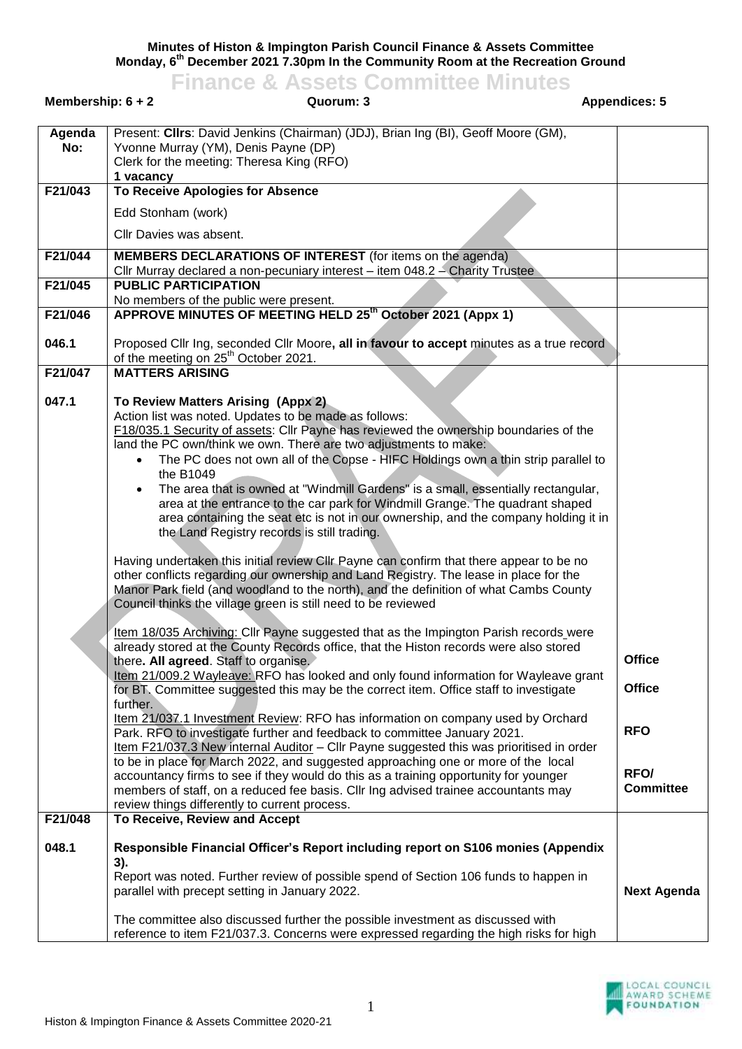**Minutes of Histon & Impington Parish Council Finance & Assets Committee Monday, 6 th December 2021 7.30pm In the Community Room at the Recreation Ground**

**Finance & Assets Committee Minutes Membership: 6 + 2 Quorum: 3 Appendices: 5 Agenda No:** Present: **Cllrs**: David Jenkins (Chairman) (JDJ), Brian Ing (BI), Geoff Moore (GM), Yvonne Murray (YM), Denis Payne (DP) Clerk for the meeting: Theresa King (RFO) **1 vacancy F21/043 To Receive Apologies for Absence** Edd Stonham (work) Cllr Davies was absent. **F21/044 MEMBERS DECLARATIONS OF INTEREST** (for items on the agenda) Cllr Murray declared a non-pecuniary interest – item 048.2 – Charity Trustee **F21/045 PUBLIC PARTICIPATION** No members of the public were present. **F21/046 046.1 APPROVE MINUTES OF MEETING HELD 25th October 2021 (Appx 1)** Proposed Cllr Ing, seconded Cllr Moore**, all in favour to accept** minutes as a true record of the meeting on 25<sup>th</sup> October 2021. **F21/047 047.1 MATTERS ARISING To Review Matters Arising (Appx 2)** Action list was noted. Updates to be made as follows: F18/035.1 Security of assets: Cllr Payne has reviewed the ownership boundaries of the land the PC own/think we own. There are two adjustments to make: The PC does not own all of the Copse - HIFC Holdings own a thin strip parallel to the B1049 The area that is owned at "Windmill Gardens" is a small, essentially rectangular, area at the entrance to the car park for Windmill Grange. The quadrant shaped area containing the seat etc is not in our ownership, and the company holding it in the Land Registry records is still trading. Having undertaken this initial review Cllr Payne can confirm that there appear to be no

other conflicts regarding our ownership and Land Registry. The lease in place for the Manor Park field (and woodland to the north), and the definition of what Cambs County Council thinks the village green is still need to be reviewed

|         | Item 18/035 Archiving: Cllr Payne suggested that as the Impington Parish records were                                                                                    |                    |
|---------|--------------------------------------------------------------------------------------------------------------------------------------------------------------------------|--------------------|
|         | already stored at the County Records office, that the Histon records were also stored                                                                                    |                    |
|         | there. All agreed. Staff to organise.                                                                                                                                    | <b>Office</b>      |
|         | Item 21/009.2 Wayleave: RFO has looked and only found information for Wayleave grant                                                                                     | <b>Office</b>      |
|         | for BT. Committee suggested this may be the correct item. Office staff to investigate                                                                                    |                    |
|         | further.                                                                                                                                                                 |                    |
|         | Item 21/037.1 Investment Review: RFO has information on company used by Orchard<br>Park. RFO to investigate further and feedback to committee January 2021.              | <b>RFO</b>         |
|         | Item F21/037.3 New internal Auditor - Cllr Payne suggested this was prioritised in order                                                                                 |                    |
|         | to be in place for March 2022, and suggested approaching one or more of the local                                                                                        |                    |
|         | accountancy firms to see if they would do this as a training opportunity for younger                                                                                     | RFO/               |
|         | members of staff, on a reduced fee basis. Cllr Ing advised trainee accountants may                                                                                       | <b>Committee</b>   |
|         | review things differently to current process.                                                                                                                            |                    |
| F21/048 | To Receive, Review and Accept                                                                                                                                            |                    |
| 048.1   | Responsible Financial Officer's Report including report on S106 monies (Appendix                                                                                         |                    |
|         | 3).                                                                                                                                                                      |                    |
|         | Report was noted. Further review of possible spend of Section 106 funds to happen in                                                                                     |                    |
|         | parallel with precept setting in January 2022.                                                                                                                           | <b>Next Agenda</b> |
|         | The committee also discussed further the possible investment as discussed with<br>reference to item F21/037.3. Concerns were expressed regarding the high risks for high |                    |
|         |                                                                                                                                                                          |                    |